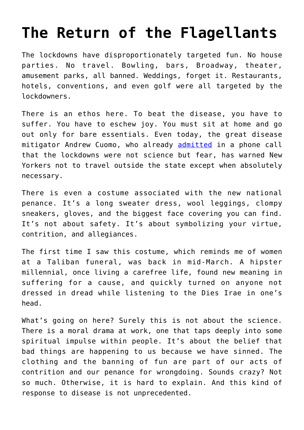## **[The Return of the Flagellants](https://intellectualtakeout.org/2020/10/the-return-of-the-flagellants/)**

The lockdowns have disproportionately targeted fun. No house parties. No travel. Bowling, bars, Broadway, theater, amusement parks, all banned. Weddings, forget it. Restaurants, hotels, conventions, and even golf were all targeted by the lockdowners.

There is an ethos here. To beat the disease, you have to suffer. You have to eschew joy. You must sit at home and go out only for bare essentials. Even today, the great disease mitigator Andrew Cuomo, who already **[admitted](https://townhall.com/tipsheet/leahbarkoukis/2020/10/15/leaked-audio-shows-cuomo-admitting-the-real-reason-for-ny-lockdowns-n2578119)** in a phone call that the lockdowns were not science but fear, has warned New Yorkers not to travel outside the state except when absolutely necessary.

There is even a costume associated with the new national penance. It's a long sweater dress, wool leggings, clompy sneakers, gloves, and the biggest face covering you can find. It's not about safety. It's about symbolizing your virtue, contrition, and allegiances.

The first time I saw this costume, which reminds me of women at a Taliban funeral, was back in mid-March. A hipster millennial, once living a carefree life, found new meaning in suffering for a cause, and quickly turned on anyone not dressed in dread while listening to the Dies Irae in one's head.

What's going on here? Surely this is not about the science. There is a moral drama at work, one that taps deeply into some spiritual impulse within people. It's about the belief that bad things are happening to us because we have sinned. The clothing and the banning of fun are part of our acts of contrition and our penance for wrongdoing. Sounds crazy? Not so much. Otherwise, it is hard to explain. And this kind of response to disease is not unprecedented.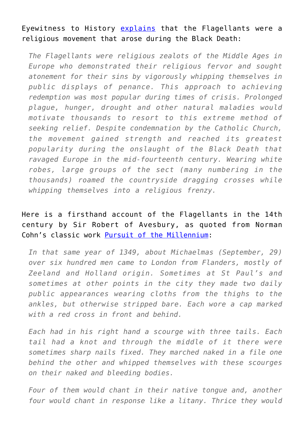## Eyewitness to History [explains](http://www.eyewitnesstohistory.com/flagellants.htm) that the Flagellants were a religious movement that arose during the Black Death:

*The Flagellants were religious zealots of the Middle Ages in Europe who demonstrated their religious fervor and sought atonement for their sins by vigorously whipping themselves in public displays of penance. This approach to achieving redemption was most popular during times of crisis. Prolonged plague, hunger, drought and other natural maladies would motivate thousands to resort to this extreme method of seeking relief. Despite condemnation by the Catholic Church, the movement gained strength and reached its greatest popularity during the onslaught of the Black Death that ravaged Europe in the mid-fourteenth century. Wearing white robes, large groups of the sect (many numbering in the thousands) roamed the countryside dragging crosses while whipping themselves into a religious frenzy.*

## Here is a firsthand account of the Flagellants in the 14th century by Sir Robert of Avesbury, as quoted from Norman Cohn's classic work [Pursuit of the Millennium](https://www.amazon.com/Pursuit-Millennium-Revolutionary-Millenarians-Anarchists/dp/0195004566):

*In that same year of 1349, about Michaelmas (September, 29) over six hundred men came to London from Flanders, mostly of Zeeland and Holland origin. Sometimes at St Paul's and sometimes at other points in the city they made two daily public appearances wearing cloths from the thighs to the ankles, but otherwise stripped bare. Each wore a cap marked with a red cross in front and behind.*

*Each had in his right hand a scourge with three tails. Each tail had a knot and through the middle of it there were sometimes sharp nails fixed. They marched naked in a file one behind the other and whipped themselves with these scourges on their naked and bleeding bodies.*

*Four of them would chant in their native tongue and, another four would chant in response like a litany. Thrice they would*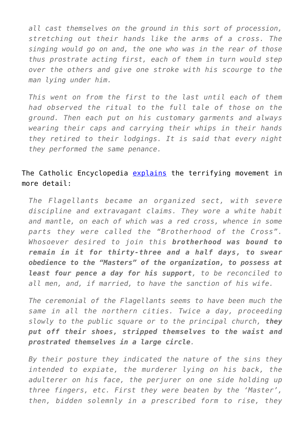*all cast themselves on the ground in this sort of procession, stretching out their hands like the arms of a cross. The singing would go on and, the one who was in the rear of those thus prostrate acting first, each of them in turn would step over the others and give one stroke with his scourge to the man lying under him.*

*This went on from the first to the last until each of them had observed the ritual to the full tale of those on the ground. Then each put on his customary garments and always wearing their caps and carrying their whips in their hands they retired to their lodgings. It is said that every night they performed the same penance.*

## The Catholic Encyclopedia [explains](https://www.catholic.com/encyclopedia/flagellants) the terrifying movement in more detail:

*The Flagellants became an organized sect, with severe discipline and extravagant claims. They wore a white habit and mantle, on each of which was a red cross, whence in some parts they were called the "Brotherhood of the Cross". Whosoever desired to join this brotherhood was bound to remain in it for thirty-three and a half days, to swear obedience to the "Masters" of the organization, to possess at least four pence a day for his support, to be reconciled to all men, and, if married, to have the sanction of his wife.*

*The ceremonial of the Flagellants seems to have been much the same in all the northern cities. Twice a day, proceeding slowly to the public square or to the principal church, they put off their shoes, stripped themselves to the waist and prostrated themselves in a large circle.*

*By their posture they indicated the nature of the sins they intended to expiate, the murderer lying on his back, the adulterer on his face, the perjurer on one side holding up three fingers, etc. First they were beaten by the 'Master', then, bidden solemnly in a prescribed form to rise, they*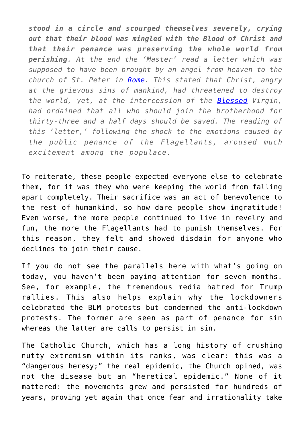*stood in a circle and scourged themselves severely, crying out that their blood was mingled with the Blood of Christ and that their penance was preserving the whole world from perishing. At the end the 'Master' read a letter which was supposed to have been brought by an angel from heaven to the church of St. Peter in [Rome.](https://www.catholic.com/encyclopedia/rome) This stated that Christ, angry at the grievous sins of mankind, had threatened to destroy the world, yet, at the intercession of the [Blessed](https://www.catholic.com/encyclopedia/blessed-the) Virgin, had ordained that all who should join the brotherhood for thirty-three and a half days should be saved. The reading of this 'letter,' following the shock to the emotions caused by the public penance of the Flagellants, aroused much excitement among the populace.*

To reiterate, these people expected everyone else to celebrate them, for it was they who were keeping the world from falling apart completely. Their sacrifice was an act of benevolence to the rest of humankind, so how dare people show ingratitude! Even worse, the more people continued to live in revelry and fun, the more the Flagellants had to punish themselves. For this reason, they felt and showed disdain for anyone who declines to join their cause.

If you do not see the parallels here with what's going on today, you haven't been paying attention for seven months. See, for example, the tremendous media hatred for Trump rallies. This also helps explain why the lockdowners celebrated the BLM protests but condemned the anti-lockdown protests. The former are seen as part of penance for sin whereas the latter are calls to persist in sin.

The Catholic Church, which has a long history of crushing nutty extremism within its ranks, was clear: this was a "dangerous heresy;" the real epidemic, the Church opined, was not the disease but an "heretical epidemic." None of it mattered: the movements grew and persisted for hundreds of years, proving yet again that once fear and irrationality take